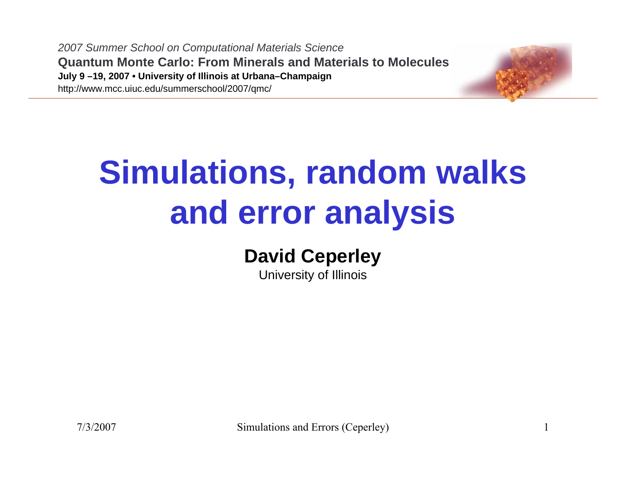*2007 Summer School on Computational Materials Science* **Quantum Monte Carlo: From Minerals and Materials to Molecules July 9 –19, 2007 • University of Illinois at Urbana–Champaign** http://www.mcc.uiuc.edu/summerschool/2007/qmc/



# **Simulations, random walks and error analysis**

#### **David Ceperley**

University of Illinois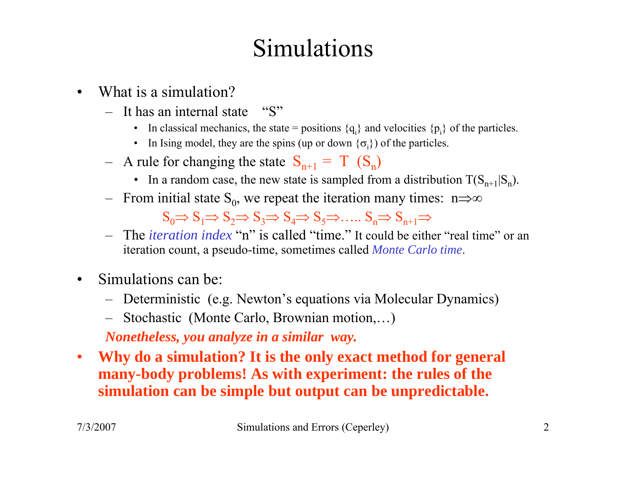### Simulations

- $\bullet$  What is a simulation?
	- It has an internal state "S"
		- In classical mechanics, the state = positions  $\{q_i\}$  and velocities  $\{p_i\}$  of the particles.
		- In Ising model, they are the spins (up or down  $\{\sigma_i\}$ ) of the particles.
	- A rule for changing the state  $S_{n+1} = T (S_n)$ 
		- In a random case, the new state is sampled from a distribution  $T(S_{n+1}|S_n)$ .
	- $-$  From initial state S<sub>0</sub>, we repeat the iteration many times: n⇒∞

 $S_0 \Rightarrow S_1 \Rightarrow S_2 \Rightarrow S_3 \Rightarrow S_4 \Rightarrow S_5 \Rightarrow ..... S_n \Rightarrow S_{n+1} \Rightarrow$ 

- The *iteration index* "n" is called "time." It could be either "real time" or an iteration count, a pseudo-time, sometimes called *Monte Carlo time*.
- $\bullet$  Simulations can be:
	- Deterministic (e.g. Newton's equations via Molecular Dynamics)
	- Stochastic (Monte Carlo, Brownian motion,…)

*Nonetheless, you analyze in a similar way.*

• **Why do a simulation? It is the only exact method for general many-body problems! As with experiment: the rules of the simulation can be simple but output can be unpredictable.**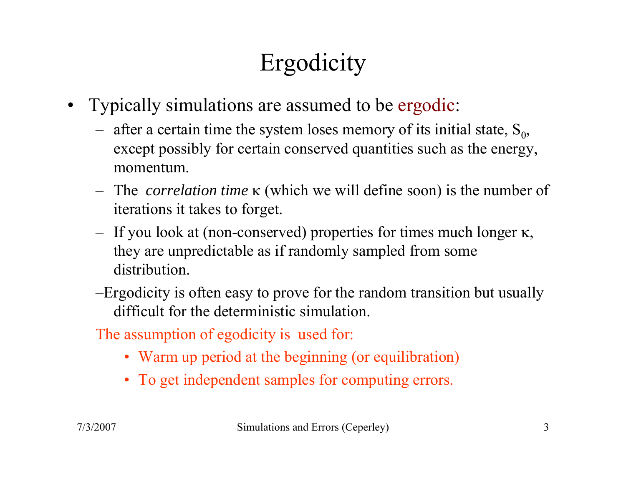# Ergodicity

- Typically simulations are assumed to be ergodic:
	- after a certain time the system loses memory of its initial state,  $S_0$ , except possibly for certain conserved quantities such as the energy, momentum.
	- The *correlation time* κ (which we will define soon) is the number of iterations it takes to forget.
	- If you look at (non-conserved) properties for times much longer κ, they are unpredictable as if randomly sampled from some distribution.
	- –Ergodicity is often easy to prove for the random transition but usually difficult for the deterministic simulation.

The assumption of egodicity is used for:

- Warm up period at the beginning (or equilibration)
- To get independent samples for computing errors.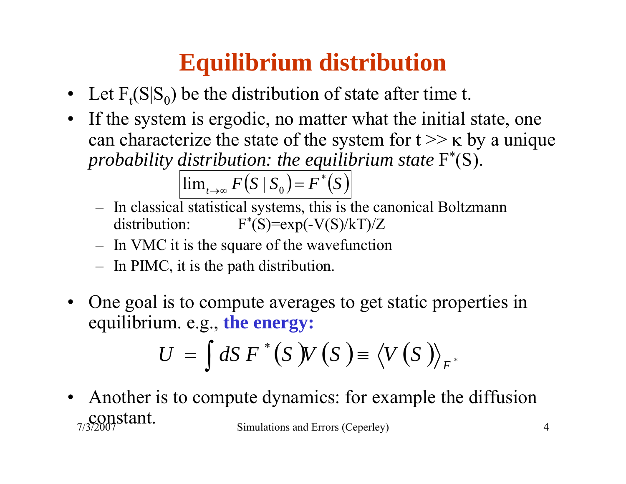# **Equilibrium distribution**

- Let  $F_t(S|S_0)$  be the distribution of state after time t.
- $\bullet$  If the system is ergodic, no matter what the initial state, one can characterize the state of the system for  $t \gg \kappa$  by a unique *probability distribution: the equilibrium state*  F \*(S).

$$
\overline{\lim}_{t\to\infty} F(S \mid S_0) = F^*(S)
$$

- In classical statistical systems, this is the canonical Boltzmann distribution:  $F^*(S)=exp(-V(S)/kT)/Z$
- In VMC it is the square of the wavefunction
- In PIMC, it is the path distribution.
- • One goal is to compute averages to get static properties in equilibrium. e.g., **the energy:**

$$
U = \int dS F^*(S) V(S) \equiv \langle V(S) \rangle_{F^*}
$$

 $5$ imulations and Errors (Ceperley) 4 • Another is to compute dynamics: for example the diffusion constant.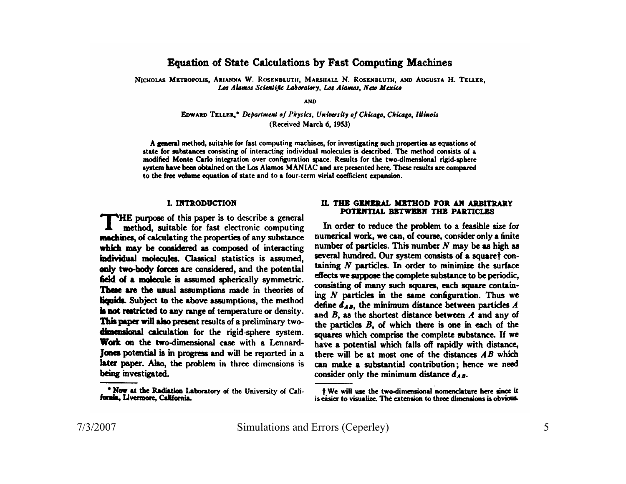#### **Equation of State Calculations by Fast Computing Machines**

NICHOLAS METROPOLIS, ARIANNA W. ROSENBLUTH, MARSHALL N. ROSENBLUTH, AND AUGUSTA H. TELLER. Los Alamos Scientific Laboratory, Los Alamos, New Mexico

**AND** 

EDWARD TELLER.\* Debartment of Physics. University of Chicago. Chicago. Illinois (Received March 6, 1953)

A general method, suitable for fast computing machines, for investigating such properties as equations of state for substances consisting of interacting individual molecules is described. The method consists of a modified Monte Carlo integration over configuration space. Results for the two-dimensional rigid-sphere system have been obtained on the Los Alamos MANIAC and are presented here. These results are compared to the free volume equation of state and to a four-term virial coefficient expansion.

#### **I. INTRODUCTION**

THE purpose of this paper is to describe a general method, suitable for fast electronic computing machines, of calculating the properties of any substance which may be considered as composed of interacting individual molecules. Classical statistics is assumed. only two-body forces are considered, and the potential field of a molecule is assumed spherically symmetric. These are the usual assumptions made in theories of liquids. Subject to the above assumptions, the method is not restricted to any range of temperature or density. This paper will also present results of a preliminary twodimensional calculation for the rigid-sphere system. Work on the two-dimensional case with a Lennard-Jones potential is in progress and will be reported in a later paper. Also, the problem in three dimensions is being investigated.

#### IL THE GENERAL METHOD FOR AN ARBITRARY POTENTIAL BETWEEN THE PARTICLES

In order to reduce the problem to a feasible size for numerical work, we can, of course, consider only a finite number of particles. This number  $N$  may be as high as several hundred. Our system consists of a squaret containing  $N$  particles. In order to minimize the surface effects we suppose the complete substance to be periodic, consisting of many such squares, each square containing  $N$  particles in the same configuration. Thus we define  $d_{AB}$ , the minimum distance between particles A and  $B$ , as the shortest distance between  $A$  and any of the particles  $B$ , of which there is one in each of the squares which comprise the complete substance. If we have a potential which falls off rapidly with distance, there will be at most one of the distances  $AB$  which can make a substantial contribution; hence we need consider only the minimum distance  $d_{AB}$ .

<sup>\*</sup> Now at the Radiation Laboratory of the University of California, Livermore, California.

t We will use the two-dimensional nomenclature here since it is easier to visualize. The extension to three dimensions is obvious.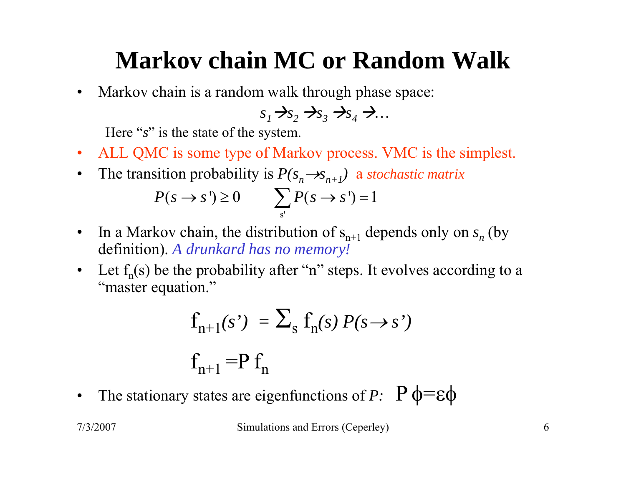### **Markov chain MC or Random Walk**

 $\bullet$ Markov chain is a random walk through phase space:

$$
s_1 \rightarrow s_2 \rightarrow s_3 \rightarrow s_4 \rightarrow \dots
$$

Here " *<sup>s</sup>*" is the state of the system.

- •ALL QMC is some type of Markov process. VMC is the simplest.
- $\bullet$ The transition probability is  $P(s_n \rightarrow s_{n+1})$  a *stochastic matrix*

$$
P(s \to s') \ge 0 \qquad \sum_{s'} P(s \to s') = 1
$$

- •In a Markov chain, the distribution of  $s_{n+1}$  depends only on  $s_n$  (by definition). *A drunkard has no memory!*
- $\bullet$ Let  $f_n(s)$  be the probability after "n" steps. It evolves according to a "master equation."

$$
f_{n+1}(s') = \sum_{s} f_n(s) P(s \rightarrow s')
$$
  

$$
f_{n+1} = P f_n
$$

 $\bullet$ The stationary states are eigenfunctions of  $P$ :  $\mathbf{P} \phi = \varepsilon \phi$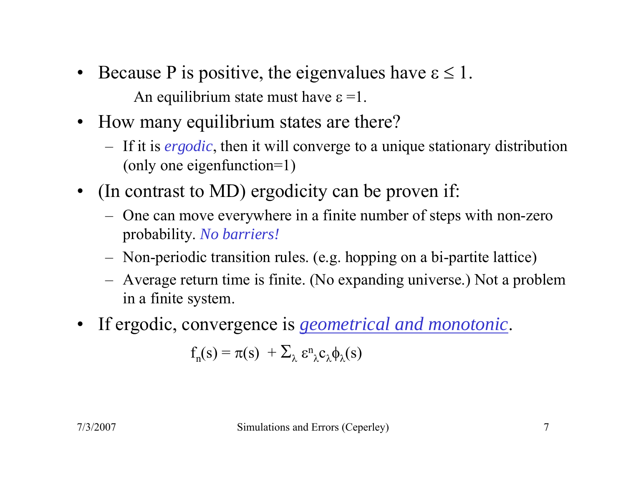- Because P is positive, the eigenvalues have  $\varepsilon \leq 1$ . An equilibrium state must have  $\varepsilon =$  1.
- $\bullet$  How many equilibrium states are there?
	- If it is *ergodic*, then it will converge to a unique stationary distribution (only one eigenfunction=1)
- (In contrast to MD) ergodicity can be proven if:
	- One can move everywhere in a finite number of steps with non-zero probability. *No barriers!*
	- Non-periodic transition rules. (e.g. hopping on a bi-partite lattice)
	- Average return time is finite. (No expanding universe.) Not a problem in a finite system.
- If ergodic, convergence is *geometrical and monotonic*.

$$
f_n(s) = \pi(s) + \Sigma_\lambda \varepsilon^n{}_\lambda c_\lambda \phi_\lambda(s)
$$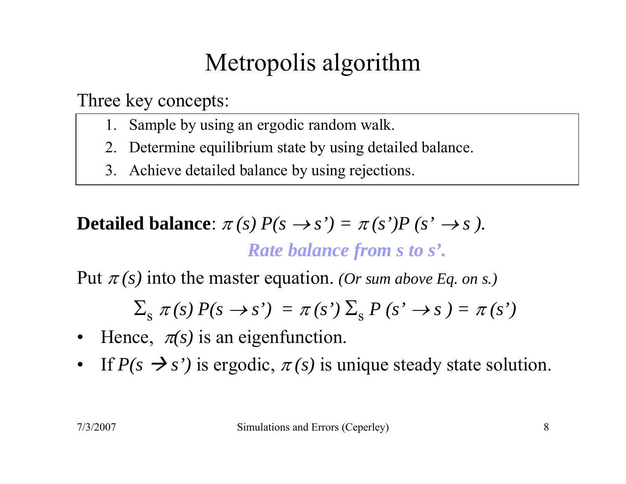# Metropolis algorithm

Three key concepts:

- 1. Sample by using an ergodic random walk.
- 2. Determine equilibrium state by using detailed balance.
- 3. Achieve detailed balance by using rejections.

**Detailed balance**:  $\pi(s) P(s \rightarrow s') = \pi(s')P(s' \rightarrow s)$ . *Rate balance from s to s'.*

Put π *(s)* into the master equation. *(Or sum above Eq. on s.)*

$$
\Sigma_{\rm s} \ \pi(s) \ P(s \to s') = \pi(s') \ \Sigma_{\rm s} \ P \ (s' \to s) = \pi(s')
$$

- Hence,  $\pi(s)$  is an eigenfunction.
- If  $P(s \rightarrow s')$  is ergodic,  $\pi(s)$  is unique steady state solution.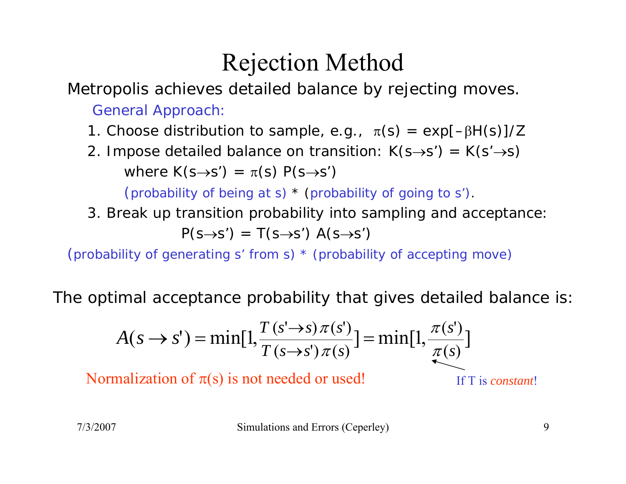#### Rejection Method

#### Metropolis achieves detailed balance by *rejecting* moves.

*General Approach:*

- 1. Choose distribution to sample, e.g.,  $\,\pi({\sf s})\,=\, \exp[-\beta {\sf H}({\sf s})] / {\sf Z}$
- 2. Impose detailed balance on transition:  $K(s{\rightarrow} s')=K(s'{\rightarrow} s)$ where  $K(s\rightarrow s') = \pi(s) P(s\rightarrow s')$

(*probability of being at s)* \* (*probability of going to s')*.

3. Break up transition probability into sampling and acceptance:  $P(s{\rightarrow} s')$  = T(s ${\rightarrow}$ s') A(s ${\rightarrow}$ s')

(*probability of generating s'* from s) \* (*probability of accepting move)*

The optimal acceptance probability that gives detailed balance is:

$$
A(s \rightarrow s') = \min[1, \frac{T(s' \rightarrow s)\pi(s')}{T(s \rightarrow s')\pi(s)}] = \min[1, \frac{\pi(s')}{\pi(s)}]
$$

Normalization of  $\pi(s)$  is not needed or used!

If T is *constant*!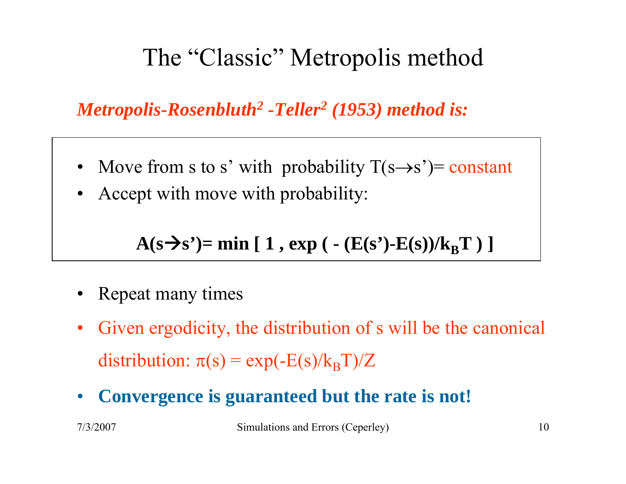#### The "Classic" Metropolis method

#### *Metropolis-Rosenbluth 2 -Teller2 (1953) method is:*

- •Move from s to s' with probability  $T(s\rightarrow s')$  constant
- •Accept with move with probability:

 $A(s \rightarrow s') = min [ 1 , exp ( - (E(s') - E(s))/k_B T ) ]$ 

- Repeat many times
- Given ergodicity, the distribution of s will be the canonical distribution:  $\pi(s) = \exp(-E(s)/k_B T)/Z$
- $\bullet$ **Convergence is guaranteed but the rate is not!**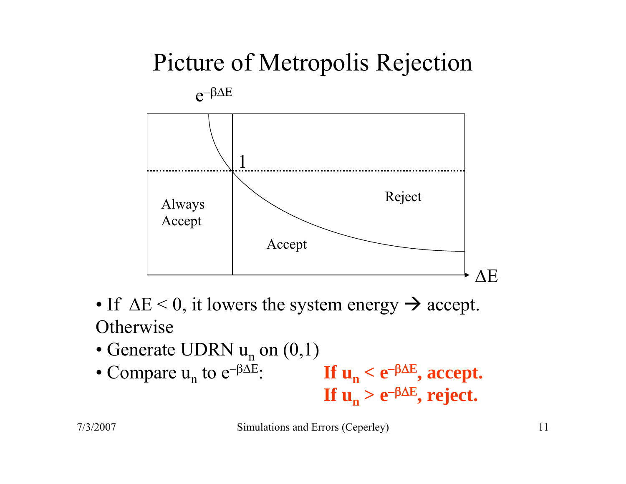# Picture of Metropolis Rejection





- If  $\Delta E < 0$ , it lowers the system energy  $\rightarrow$  accept. **Otherwise**
- Generate UDRN  $u_n$  on  $(0,1)$
- Compare  $u_n$  to  $e^{-\beta \Delta}$ E: **If**  $u_n < e^{-\beta \Delta E}$ **, accept.**  $\mathbf{If} \mathbf{u}_{\mathbf{n}} > \mathbf{e}^{-\beta \Delta \mathbf{E}}, \mathbf{reject}.$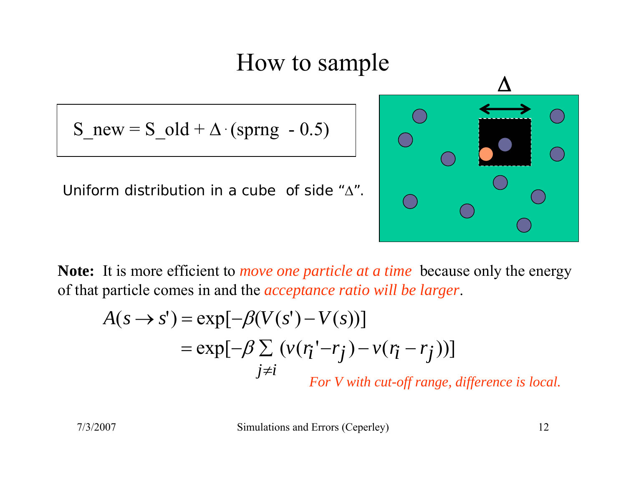#### How to sample

$$
S_{\text{new}} = S_{\text{old}} + \Delta \cdot (sprng - 0.5)
$$

Uniform distribution in a cube of side "Δ".

**Note:** It is more efficient to *move one particle at a time* because only the energy of that particle comes in and the *acceptance ratio will be larger*.

$$
A(s \to s') = \exp[-\beta(V(s') - V(s))]
$$
  
=  $\exp[-\beta \sum_{j \neq i} (v(r_i' - r_j) - v(r_i - r_j))]$   
*For V with cut-off range, difference is local.*

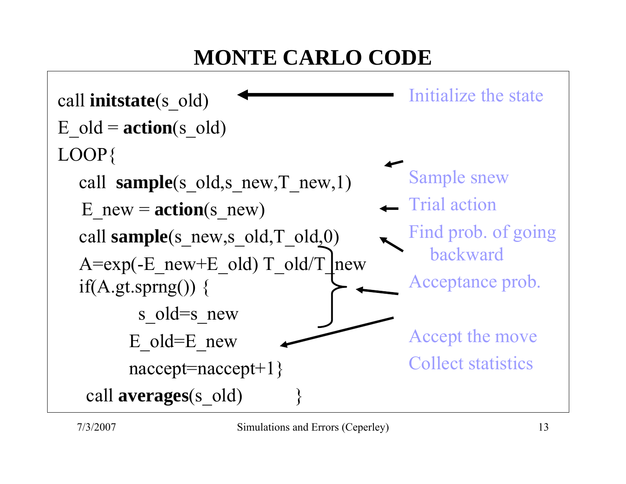#### **MONTE CARLO CODE**

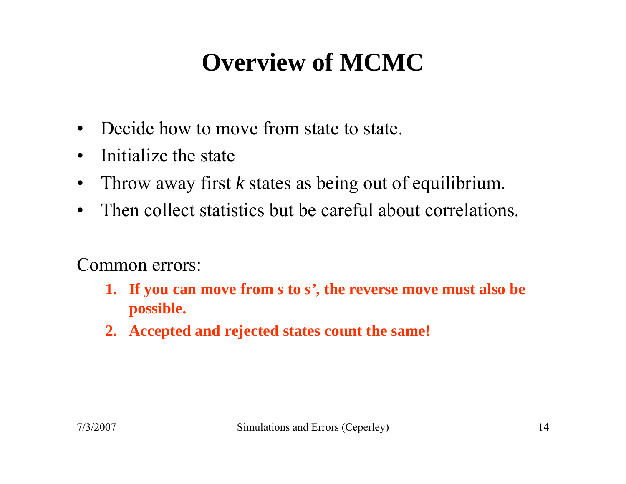# **Overview of MCMC**

- Decide how to move from state to state.
- •Initialize the state
- •Throw away first *k* states as being out of equilibrium.
- •Then collect statistics but be careful about correlations.

Common errors:

- **1. If you can move from**  *s* **to** *s'***, the reverse move must also be possible.**
- **2. Accepted and rejected states count the same!**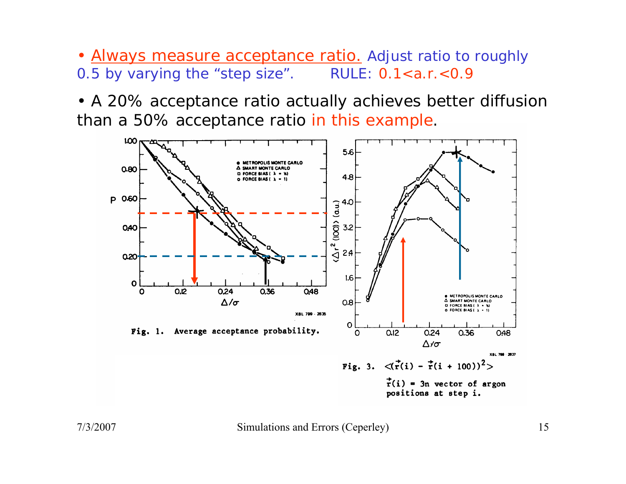• *Always measure acceptance ratio.* Adjust ratio to *roughly*  0.5 by varying the "step size". RULE:  $0.1 < a.r. < 0.9$ 

• A 20% acceptance ratio actually achieves better diffusion than a 50% acceptance ratio *in this example*.

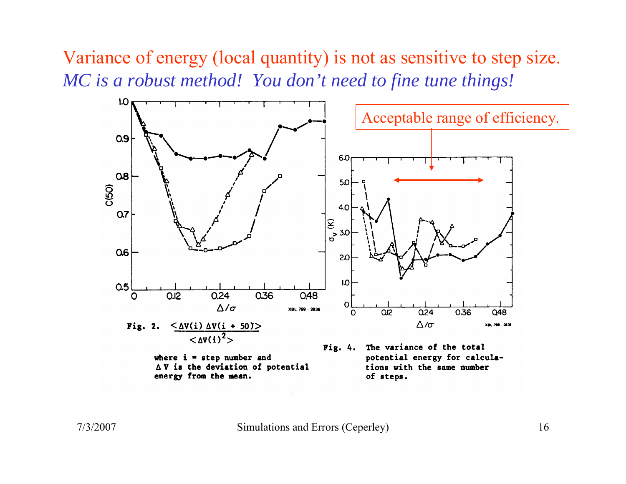Variance of energy (local quantity) is not as sensitive to step size. *MC is a robust method! You don't need to fine tune things!*

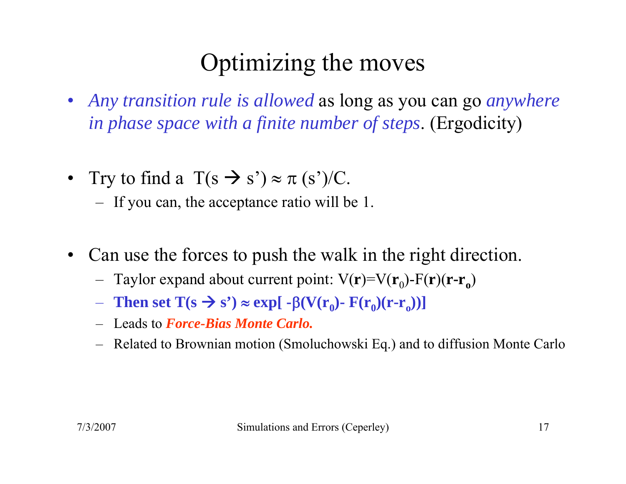### Optimizing the moves

- *Any transition rule is allowed* as long as you can go *anywhere in phase space with a finite number of steps*. (Ergodicity)
- Try to find a  $T(s \rightarrow s') \approx \pi (s')/C$ .

If you can, the acceptance ratio will be 1.

- $\bullet$  Can use the forces to push the walk in the right direction.
	- Taylor expand about current point:  $V(\mathbf{r})=V(\mathbf{r}_0)-F(\mathbf{r})(\mathbf{r}\cdot\mathbf{r}_0)$
	- $\sim$  Then set T(s → s') ≈ exp[ -β(V(r<sub>0</sub>)- F(r<sub>0</sub>)(r-r<sub>0</sub>))]
	- Leads to *Force-Bias Monte Carlo.*
	- Related to Brownian motion (Smoluchowski Eq.) and to diffusion Monte Carlo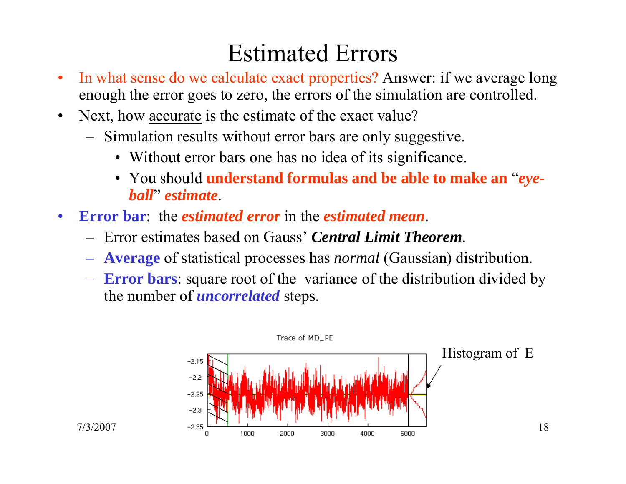#### Estimated Errors

- • In what sense do we calculate exact properties? Answer: if we average long enough the error goes to zero, the errors of the simulation are controlled.
- • Next, how accurate is the estimate of the exact value?
	- Simulation results without error bars are only suggestive.
		- Without error bars one has no idea of its significance.
		- You should **understand formulas and be able to make an** "*eyeball*" *estimate*.
- • **Error bar**: the *estimated error* in the *estimated mean*.
	- Error estimates based on Gauss' *Central Limit Theorem*.
	- **Average** of statistical processes has *normal* (Gaussian) distribution.
	- **Error bars**: square root of the variance of the distribution divided by the number of *uncorrelated* steps.

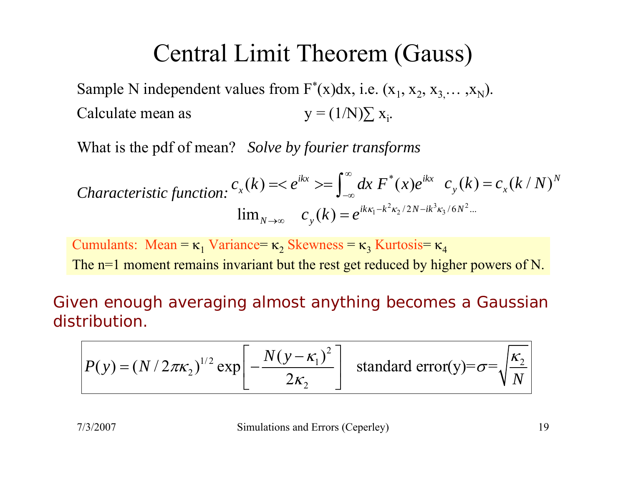#### Central Limit Theorem (Gauss)

Sample N independent values from  $F^*(x)dx$ , i.e.  $(x_1, x_2, x_3, \dots, x_N)$ . Calculate mean as  $\sum\, \mathrm{X_i}.$ 

What is the pdf of mean? *Solve by fourier transforms*

*Characteristic function:*  $c_x(k) = = \int_{-\infty}^{\infty} dx F^*(x) e^{ikx}$  $= and  $>=$$  $\int_{-\infty}^{\infty} dx \ E^*(x) e^{ikx} \ C_y(k) = c_x (k/N)^N$  $\lim_{N \to \infty} c_y(k) = e^{ik \kappa_1 - k^2 \kappa_2 / 2N - ik^3 \kappa_3 / 6N^2 ...}$ =

Cumulants: Mean =  $\kappa_1$  Variance=  $\kappa_2$  Skewness =  $\kappa_3$  Kurtosis=  $\kappa_4$ The n=1 moment remains invariant but the rest get reduced by higher powers of N.

Given enough averaging almost anything becomes a Gaussian distribution.

$$
P(y) = (N/2\pi\kappa_2)^{1/2} \exp\left[-\frac{N(y-\kappa_1)^2}{2\kappa_2}\right] \text{ standard error}(y) = \sigma = \sqrt{\frac{\kappa_2}{N}}
$$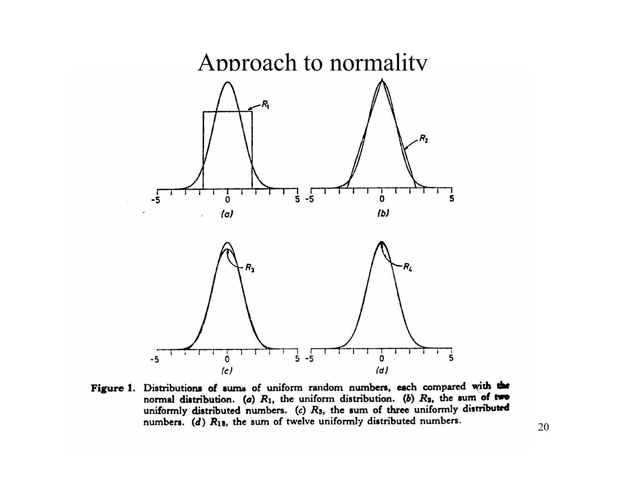

Figure 1. Distributions of sums of uniform random numbers, each compared with the normal distribution. (a)  $R_1$ , the uniform distribution. (b)  $R_2$ , the sum of two uniformly distributed numbers. (c) R<sub>3</sub>, the sum of three uniformly distributed numbers. (d)  $R_{12}$ , the sum of twelve uniformly distributed numbers.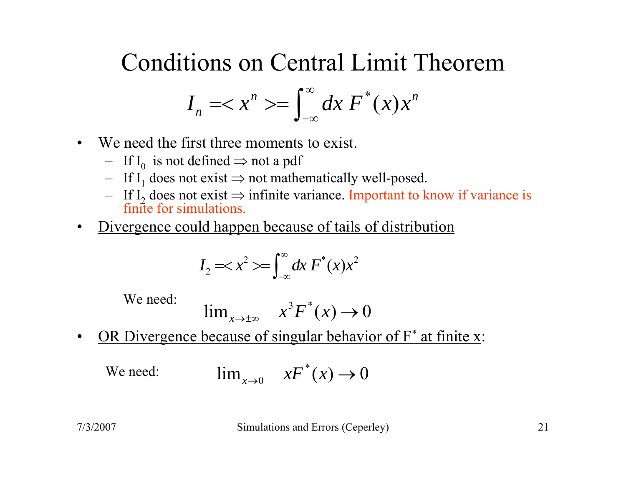#### Conditions on Central Limit Theorem

$$
I_n =  = \int_{-\infty}^{\infty} dx \ F^*(x) x^n
$$

- •We need the first three moments to exist.
	- $-$  If I<sub>0</sub> is not defined  $\Rightarrow$  not a pdf
	- $-$  If I<sub>1</sub> does not exist  $\Rightarrow$  not mathematically well-posed.
	- $-$  If  $I_2$  does not exist  $\Rightarrow$  infinite variance. Important to know if variance is finite for simulations.
- •Divergence could happen because of tails of distribution

$$
I_2 =  = \int_{-\infty}^{\infty} dx F^*(x) x^2
$$

We need:

$$
\lim_{x \to \pm \infty} x^3 F^*(x) \to 0
$$

•OR Divergence because of singular behavior of F<sup>\*</sup> at finite x:

We need:  $\lim_{x\to 0} xF^*(x) \to 0$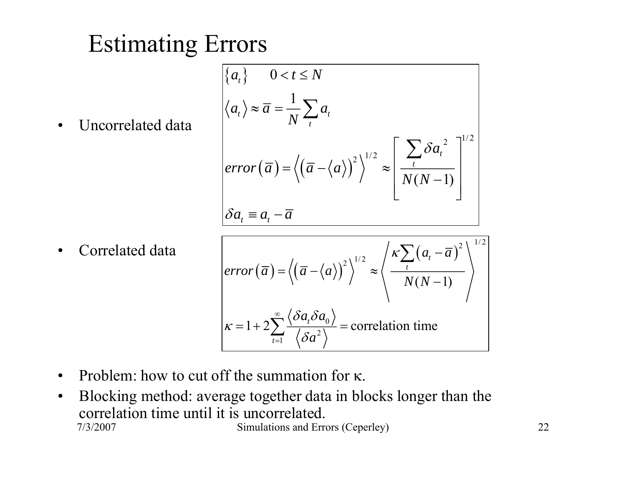#### Estimating Errors

•Uncorrelated data

$$
\begin{cases}\n\{a_{t}\} & 0 < t \leq N \\
\langle a_{t} \rangle \approx \overline{a} = \frac{1}{N} \sum_{t} a_{t} \\
\text{error}(\overline{a}) = \left\langle (\overline{a} - \langle a_{t} \rangle)^{2} \right\rangle^{1/2} \approx \left[ \frac{\sum_{t} \delta a_{t}^{2}}{N(N-1)} \right]^{1/2} \\
\delta a_{t} \equiv a_{t} - \overline{a} \\
\overline{\left\langle \sum_{t} \delta a_{t}^{2} \right\rangle^{1/2}} = \left\langle (\overline{a} - \langle a_{t} \rangle)^{2} \right\rangle^{1/2} \approx \left\langle \frac{\kappa \sum_{t} (a_{t} - \overline{a})^{2}}{N(N-1)} \right\rangle^{1/2} \\
\kappa = 1 + 2 \sum_{t=1}^{\infty} \frac{\langle \delta a_{t} \delta a_{0} \rangle}{\langle \delta a^{2} \rangle} = \text{correlation time}\n\end{cases}
$$

•Correlated data

- $\bullet$ Problem: how to cut off the summation for κ.
- 7/3/2007 Simulations and Errors (Ceperley) 22  $\bullet$  Blocking method: average together data in blocks longer than the correlation time until it is uncorrelated.

 $t = 1$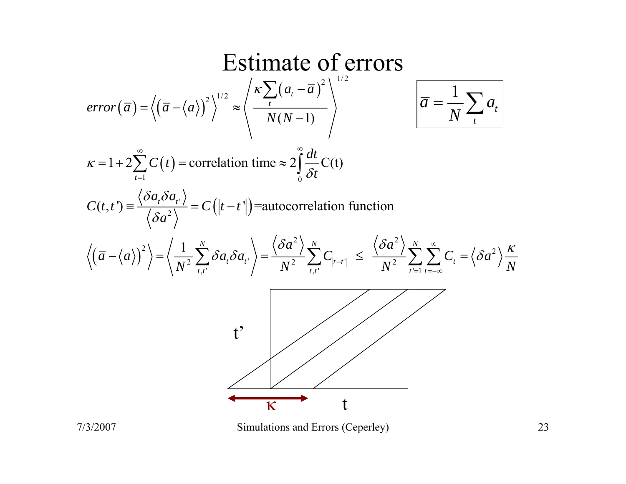**Estimate of errors**  
\n
$$
error(\overline{a}) = \langle (\overline{a} - \langle a \rangle)^2 \rangle^{1/2} \approx \langle \frac{\kappa \sum_i (a_i - \overline{a})^2}{N(N-1)} \rangle^{1/2}
$$
  
\n $\kappa = 1 + 2 \sum_{i=1}^{\infty} C(t) = \text{correlation time} \approx 2 \int_0^{\infty} \frac{dt}{\delta t} C(t)$   
\n $C(t, t') = \frac{\langle \delta a_i \delta a_{i'} \rangle}{\langle \delta a^2 \rangle} = C(|t - t'|) = \text{autocorrelation function}$   
\n $\langle (\overline{a} - \langle a \rangle)^2 \rangle = \langle \frac{1}{N^2} \sum_{i,i'}^{N} \delta a_i \delta a_{i'} \rangle = \frac{\langle \delta a^2 \rangle}{N^2} \sum_{i,i'}^{N} C_{|t - t'|} \le \frac{\langle \delta a^2 \rangle}{N^2} \sum_{i'=1}^{N} \sum_{i=-\infty}^{\infty} C_i = \langle \delta a^2 \rangle \frac{\kappa}{N}$   
\nt'  
\n**t**

7/3/2007 Simulations and Errors (Ceperley) 23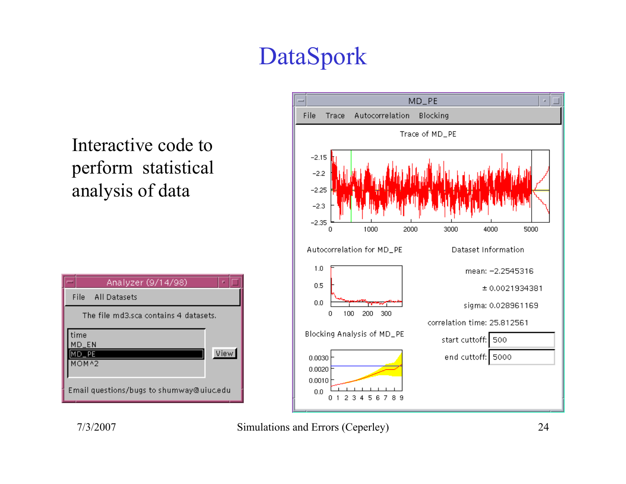# DataSpork

#### Interactive code to perform statistical analysis of data

|                                          | Analyzer (9/14/98)<br>п |      |
|------------------------------------------|-------------------------|------|
| File                                     | - All Datasets          |      |
| The file md3.sca contains 4 datasets.    |                         |      |
| time                                     |                         |      |
| MD_EN<br>D_PE                            |                         | View |
| MOM^2                                    |                         |      |
| Email questions/bugs to shumway@uiuc.edu |                         |      |

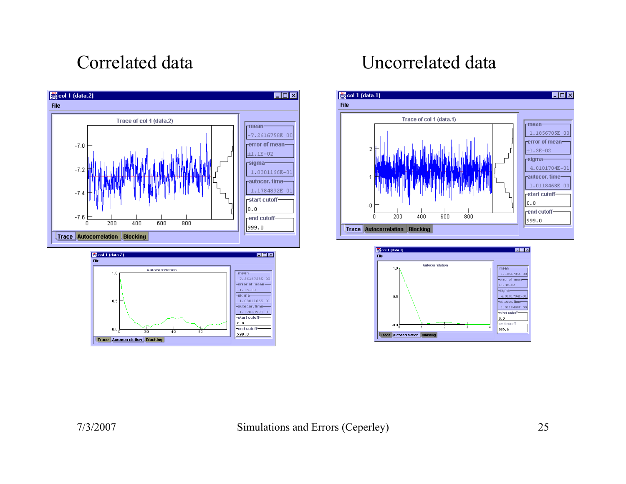#### Correlated data









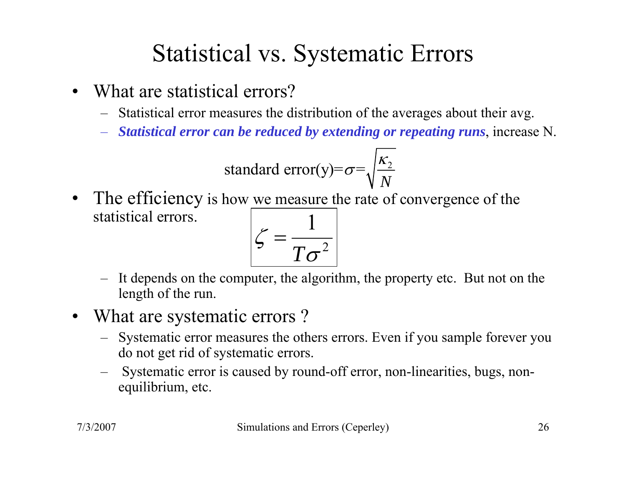# Statistical vs. Systematic Errors

- $\bullet$  What are statistical errors?
	- Statistical error measures the distribution of the averages about their avg.
	- *Statistical error can be reduced by extending or repeating runs*, increase N.

standard error(y)=
$$
\sigma = \sqrt{\frac{\kappa_2}{N}}
$$

 $\bullet$  The efficiency is how we measure the rate of convergence of the statistical errors.

$$
\zeta = \frac{1}{T\sigma^2}
$$

- – It depends on the computer, the algorithm, the property etc. But not on the length of the run.
- $\bullet$  What are systematic errors ?
	- Systematic error measures the others errors. Even if you sample forever you do not get rid of systematic errors.
	- – Systematic error is caused by round-off error, non-linearities, bugs, nonequilibrium, etc.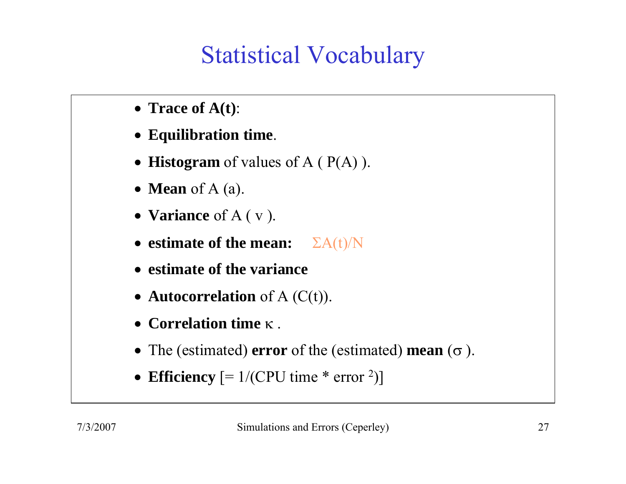#### Statistical Vocabulary

- **Trace of A(t)**:
- **Equilibration time**.
- **Histogram** of values of A ( P(A) ).
- **Mean** of A (a).
- **Variance** of A ( v ).
- **estimate of the mean:**  ΣA(t)/N
- **estimate of the variance**
- **Autocorrelation** of A (C(t)).
- **Correlation time** κ .
- The (estimated) **error** of the (estimated) **mean** ( σ ).
- **Efficiency**  $[= 1/(CPU time * error 2)]$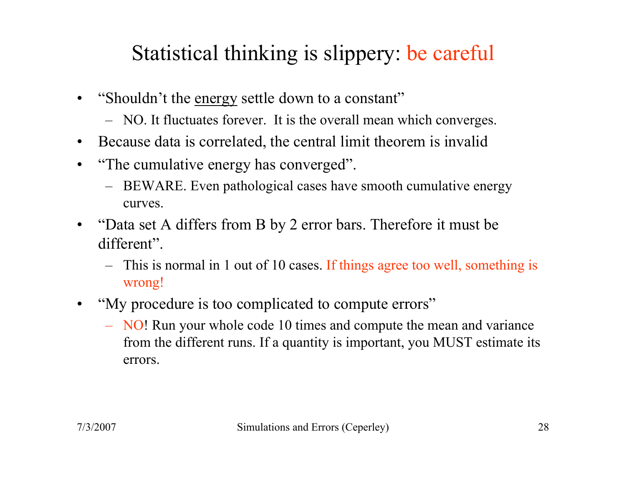#### Statistical thinking is slippery: be careful

- •"Shouldn't the energy settle down to a constant"
	- NO. It fluctuates forever. It is the overall mean which converges.
- •Because data is correlated, the central limit theorem is invalid
- • "The cumulative energy has converged".
	- BEWARE. Even pathological cases have smooth cumulative energy curves.
- $\bullet$  "Data set A differs from B by 2 error bars. Therefore it must be different".
	- This is normal in 1 out of 10 cases. If things agree too well, something is wrong!
- • "My procedure is too complicated to compute errors"
	- NO! Run your whole code 10 times and compute the mean and variance from the different runs. If a quantity is important, you MUST estimate its errors.